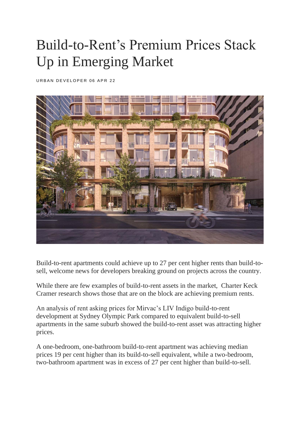## Build-to-Rent's Premium Prices Stack Up in Emerging Market

URBAN DEVELOPER 06 APR 22



Build-to-rent apartments could achieve up to 27 per cent higher rents than build-tosell, welcome news for developers breaking ground on projects across the country.

While there are few examples of build-to-rent assets in the market, Charter Keck Cramer research shows those that are on the block are achieving premium rents.

An analysis of rent asking prices for Mirvac's LIV Indigo build-to-rent development at Sydney Olympic Park compared to equivalent build-to-sell apartments in the same suburb showed the build-to-rent asset was attracting higher prices.

A one-bedroom, one-bathroom build-to-rent apartment was achieving median prices 19 per cent higher than its build-to-sell equivalent, while a two-bedroom, two-bathroom apartment was in excess of 27 per cent higher than build-to-sell.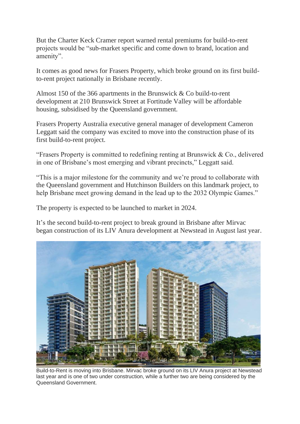But the Charter Keck Cramer report warned rental premiums for build-to-rent projects would be "sub-market specific and come down to brand, location and amenity".

It comes as good news for Frasers Property, which broke ground on its first buildto-rent project nationally in Brisbane recently.

Almost 150 of the 366 apartments in the Brunswick & Co build-to-rent development at 210 Brunswick Street at Fortitude Valley will be affordable housing, subsidised by the Queensland government.

Frasers Property Australia executive general manager of development Cameron Leggatt said the company was excited to move into the construction phase of its first build-to-rent project.

"Frasers Property is committed to redefining renting at Brunswick & Co., delivered in one of Brisbane's most emerging and vibrant precincts," Leggatt said.

"This is a major milestone for the community and we're proud to collaborate with the Queensland government and Hutchinson Builders on this landmark project, to help Brisbane meet growing demand in the lead up to the 2032 Olympic Games."

The property is expected to be launched to market in 2024.

It's the second build-to-rent project to break ground in Brisbane after Mirvac began construction of its LIV Anura development at Newstead in August last year.



Build-to-Rent is moving into Brisbane. Mirvac broke ground on its LIV Anura project at Newstead last year and is one of two under construction, while a further two are being considered by the Queensland Government.